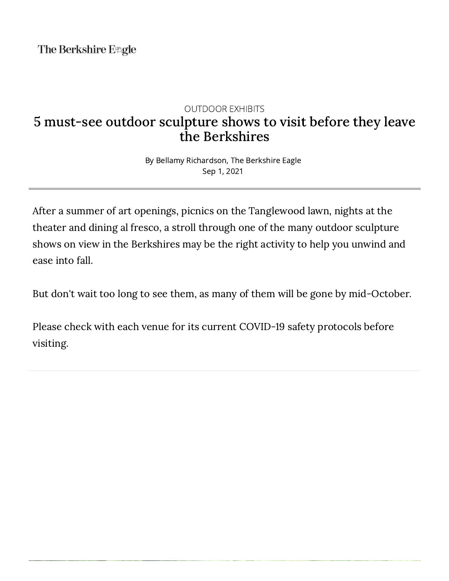The Berkshire E#gle

## OUTDOOR EXHIBITS 5 must-see outdoor sculpture shows to visit before they leave the Berkshires

By Bellamy Richardson, The Berkshire Eagle Sep 1, 2021

After a summer of art openings, picnics on the Tanglewood lawn, nights at the theater and dining al fresco, a stroll through one of the many outdoor sculpture shows on view in the Berkshires may be the right activity to help you unwind and ease into fall.

But don't wait too long to see them, as many of them will be gone by mid-October.

Please check with each venue for its current COVID-19 safety protocols before visiting.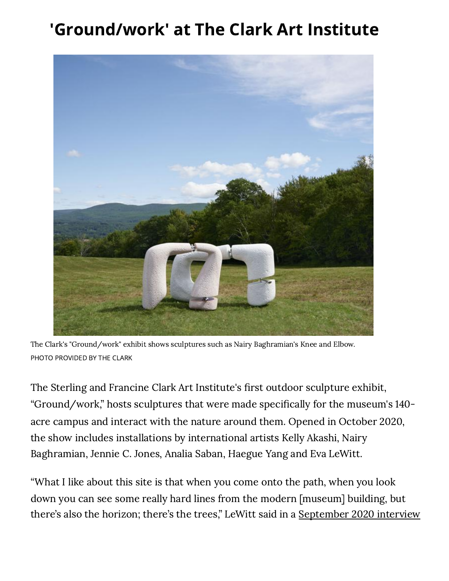## 'Ground/work' at The Clark Art Institute



The Clark's "Ground/work" exhibit shows sculptures such as Nairy Baghramian's Knee and Elbow. PHOTO PROVIDED BY THE CLARK

The Sterling and Francine Clark Art Institute's first outdoor sculpture exhibit, "Ground/work," hosts sculptures that were made specifically for the museum's 140acre campus and interact with the nature around them. Opened in October 2020, the show includes installations by international artists Kelly Akashi, Nairy Baghramian, Jennie C. Jones, Analia Saban, Haegue Yang and Eva LeWitt.

"What I like about this site is that when you come onto the path, when you look down you can see some really hard lines from the modern [museum] building, but there's also the horizon; there's the trees," LeWitt said in a September 2020 interview